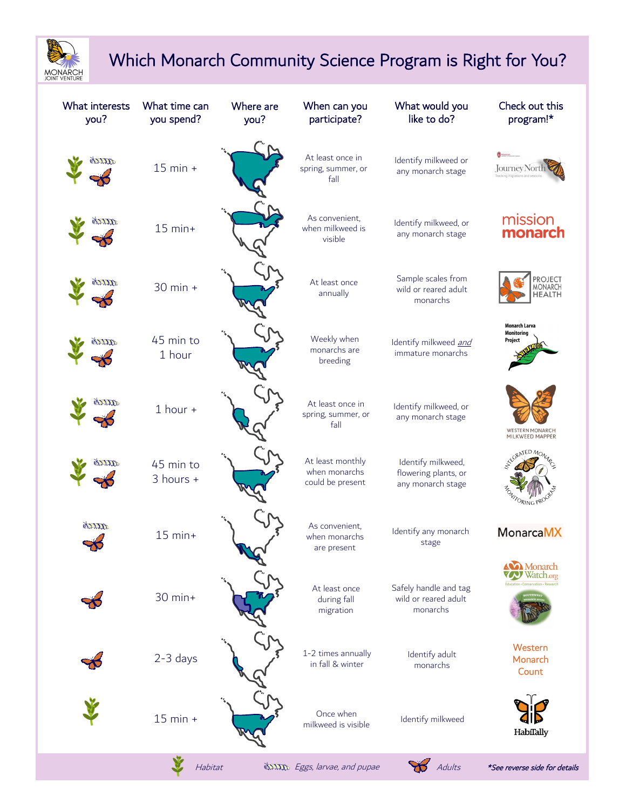

## Which Monarch Community Science Program is Right for You?

| What interests<br>you? | What time can<br>you spend? | Where are<br>you? | When can you<br>participate?                          | What would you<br>like to do?                                   | Check out this<br>program!*                             |
|------------------------|-----------------------------|-------------------|-------------------------------------------------------|-----------------------------------------------------------------|---------------------------------------------------------|
| TTI                    | $15$ min $+$                |                   | At least once in<br>spring, summer, or<br>fall        | Identify milkweed or<br>any monarch stage                       | <b>Journey Nort</b><br>racking migrati                  |
| 27722                  | $15$ min+                   |                   | As convenient.<br>when milkweed is<br>visible         | Identify milkweed, or<br>any monarch stage                      | mission<br>monarch                                      |
| mm                     | 30 min +                    |                   | At least once<br>annually                             | Sample scales from<br>wild or reared adult<br>monarchs          | <b>PROJECT</b><br>MONARCH<br>HEALTH                     |
|                        | 45 min to<br>1 hour         |                   | Weekly when<br>monarchs are<br>breeding               | Identify milkweed and<br>immature monarchs                      | Monarch Larva<br><b>Monitoring</b><br>Project           |
|                        | $1$ hour $+$                |                   | At least once in<br>spring, summer, or<br>fall        | Identify milkweed, or<br>any monarch stage                      | WESTERN MONARCH<br>MILKWEED MAPPER                      |
|                        | 45 min to<br>3 hours +      |                   | At least monthly<br>when monarchs<br>could be present | Identify milkweed,<br>flowering plants, or<br>any monarch stage | NTED MO<br>ORING PROC                                   |
| gritte                 | $15$ min+                   |                   | As convenient.<br>when monarchs<br>are present        | Identify any monarch<br>stage                                   | <b>MonarcaMX</b><br><b>Monarch</b>                      |
|                        | 30 min+                     |                   | At least once<br>during fall<br>migration             | Safely handle and tag<br>wild or reared adult<br>monarchs       | <b>Watch.org</b><br>Education - Conservation - Research |
|                        | 2-3 days                    |                   | 1-2 times annually<br>in fall & winter                | Identify adult<br>monarchs                                      | Western<br>Monarch<br>Count                             |
|                        | $15$ min $+$                |                   | Once when<br>milkweed is visible                      | Identify milkweed                                               | HabiTally                                               |
|                        | Habitat                     |                   | exxxxy Eggs, larvae, and pupae                        | Adults                                                          | *See reverse side for details                           |